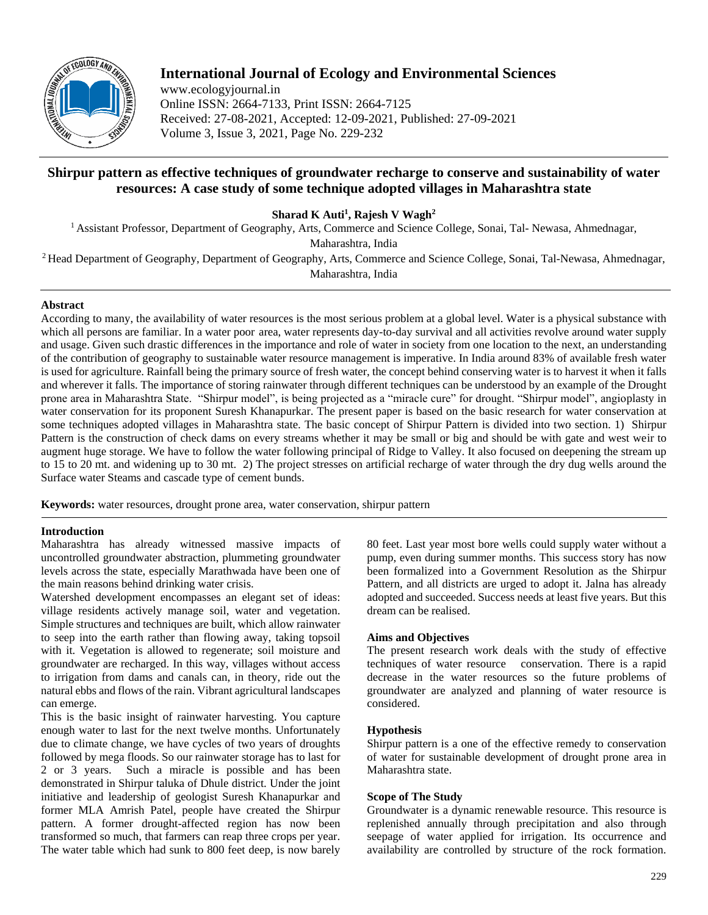

# **International Journal of Ecology and Environmental Sciences**

www.ecologyjournal.in Online ISSN: 2664-7133, Print ISSN: 2664-7125 Received: 27-08-2021, Accepted: 12-09-2021, Published: 27-09-2021 Volume 3, Issue 3, 2021, Page No. 229-232

# **Shirpur pattern as effective techniques of groundwater recharge to conserve and sustainability of water resources: A case study of some technique adopted villages in Maharashtra state**

**Sharad K Auti<sup>1</sup> , Rajesh V Wagh<sup>2</sup>**

<sup>1</sup> Assistant Professor, Department of Geography, Arts, Commerce and Science College, Sonai, Tal-Newasa, Ahmednagar,

Maharashtra, India

<sup>2</sup>Head Department of Geography, Department of Geography, Arts, Commerce and Science College, Sonai, Tal-Newasa, Ahmednagar, Maharashtra, India

# **Abstract**

According to many, the availability of water resources is the most serious problem at a global level. Water is a physical substance with which all persons are familiar. In a water poor area, water represents day-to-day survival and all activities revolve around water supply and usage. Given such drastic differences in the importance and role of water in society from one location to the next, an understanding of the contribution of geography to sustainable water resource management is imperative. In India around 83% of available fresh water is used for agriculture. Rainfall being the primary source of fresh water, the concept behind conserving water is to harvest it when it falls and wherever it falls. The importance of storing rainwater through different techniques can be understood by an example of the Drought prone area in Maharashtra State. "Shirpur model", is being projected as a "miracle cure" for drought. "Shirpur model", angioplasty in water conservation for its proponent Suresh Khanapurkar. The present paper is based on the basic research for water conservation at some techniques adopted villages in Maharashtra state. The basic concept of Shirpur Pattern is divided into two section. 1) Shirpur Pattern is the construction of check dams on every streams whether it may be small or big and should be with gate and west weir to augment huge storage. We have to follow the water following principal of Ridge to Valley. It also focused on deepening the stream up to 15 to 20 mt. and widening up to 30 mt. 2) The project stresses on artificial recharge of water through the dry dug wells around the Surface water Steams and cascade type of cement bunds.

**Keywords:** water resources, drought prone area, water conservation, shirpur pattern

# **Introduction**

Maharashtra has already witnessed massive impacts of uncontrolled groundwater abstraction, plummeting groundwater levels across the state, especially Marathwada have been one of the main reasons behind drinking water crisis.

Watershed development encompasses an elegant set of ideas: village residents actively manage soil, water and vegetation. Simple structures and techniques are built, which allow rainwater to seep into the earth rather than flowing away, taking topsoil with it. Vegetation is allowed to regenerate; soil moisture and groundwater are recharged. In this way, villages without access to irrigation from dams and canals can, in theory, ride out the natural ebbs and flows of the rain. Vibrant agricultural landscapes can emerge.

This is the basic insight of rainwater harvesting. You capture enough water to last for the next twelve months. Unfortunately due to climate change, we have cycles of two years of droughts followed by mega floods. So our rainwater storage has to last for 2 or 3 years. Such a miracle is possible and has been demonstrated in Shirpur taluka of Dhule district. Under the joint initiative and leadership of geologist Suresh Khanapurkar and former MLA Amrish Patel, people have created the Shirpur pattern. A former drought-affected region has now been transformed so much, that farmers can reap three crops per year. The water table which had sunk to 800 feet deep, is now barely

80 feet. Last year most bore wells could supply water without a pump, even during summer months. This success story has now been formalized into a Government Resolution as the Shirpur Pattern, and all districts are urged to adopt it. Jalna has already adopted and succeeded. Success needs at least five years. But this dream can be realised.

## **Aims and Objectives**

The present research work deals with the study of effective techniques of water resource conservation. There is a rapid decrease in the water resources so the future problems of groundwater are analyzed and planning of water resource is considered.

## **Hypothesis**

Shirpur pattern is a one of the effective remedy to conservation of water for sustainable development of drought prone area in Maharashtra state.

# **Scope of The Study**

Groundwater is a dynamic renewable resource. This resource is replenished annually through precipitation and also through seepage of water applied for irrigation. Its occurrence and availability are controlled by structure of the rock formation.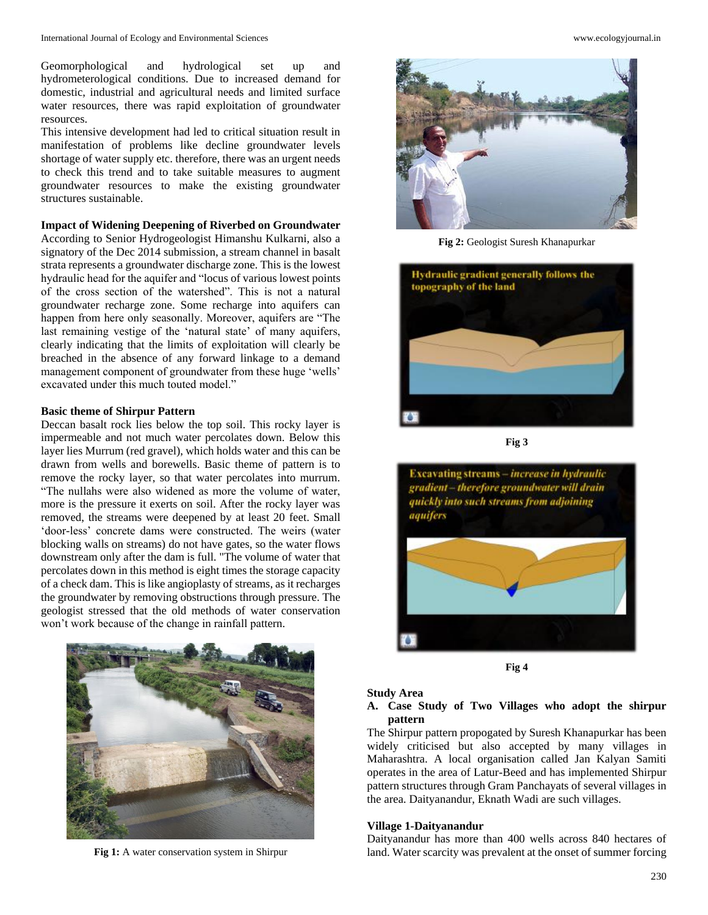Geomorphological and hydrological set up and hydrometerological conditions. Due to increased demand for domestic, industrial and agricultural needs and limited surface water resources, there was rapid exploitation of groundwater resources.

This intensive development had led to critical situation result in manifestation of problems like decline groundwater levels shortage of water supply etc. therefore, there was an urgent needs to check this trend and to take suitable measures to augment groundwater resources to make the existing groundwater structures sustainable.

### **Impact of Widening Deepening of Riverbed on Groundwater**

According to Senior Hydrogeologist Himanshu Kulkarni, also a signatory of the Dec 2014 submission, a stream channel in basalt strata represents a groundwater discharge zone. This is the lowest hydraulic head for the aquifer and "locus of various lowest points of the cross section of the watershed". This is not a natural groundwater recharge zone. Some recharge into aquifers can happen from here only seasonally. Moreover, aquifers are "The last remaining vestige of the 'natural state' of many aquifers, clearly indicating that the limits of exploitation will clearly be breached in the absence of any forward linkage to a demand management component of groundwater from these huge 'wells' excavated under this much touted model."

#### **Basic theme of Shirpur Pattern**

Deccan basalt rock lies below the top soil. This rocky layer is impermeable and not much water percolates down. Below this layer lies Murrum (red gravel), which holds water and this can be drawn from wells and borewells. Basic theme of pattern is to remove the rocky layer, so that water percolates into murrum. "The nullahs were also widened as more the volume of water, more is the pressure it exerts on soil. After the rocky layer was removed, the streams were deepened by at least 20 feet. Small 'door-less' concrete dams were constructed. The weirs (water blocking walls on streams) do not have gates, so the water flows downstream only after the dam is full. "The volume of water that percolates down in this method is eight times the storage capacity of a check dam. This is like angioplasty of streams, as it recharges the groundwater by removing obstructions through pressure. The geologist stressed that the old methods of water conservation won't work because of the change in rainfall pattern.



**Fig 1:** A water conservation system in Shirpur



**Fig 2:** Geologist Suresh Khanapurkar



**Fig 3**



**Fig 4**

#### **Study Area**

**A. Case Study of Two Villages who adopt the shirpur pattern** 

The Shirpur pattern propogated by Suresh Khanapurkar has been widely criticised but also accepted by many villages in Maharashtra. A local organisation called Jan Kalyan Samiti operates in the area of Latur-Beed and has implemented Shirpur pattern structures through Gram Panchayats of several villages in the area. Daityanandur, Eknath Wadi are such villages.

### **Village 1-Daityanandur**

Daityanandur has more than 400 wells across 840 hectares of land. Water scarcity was prevalent at the onset of summer forcing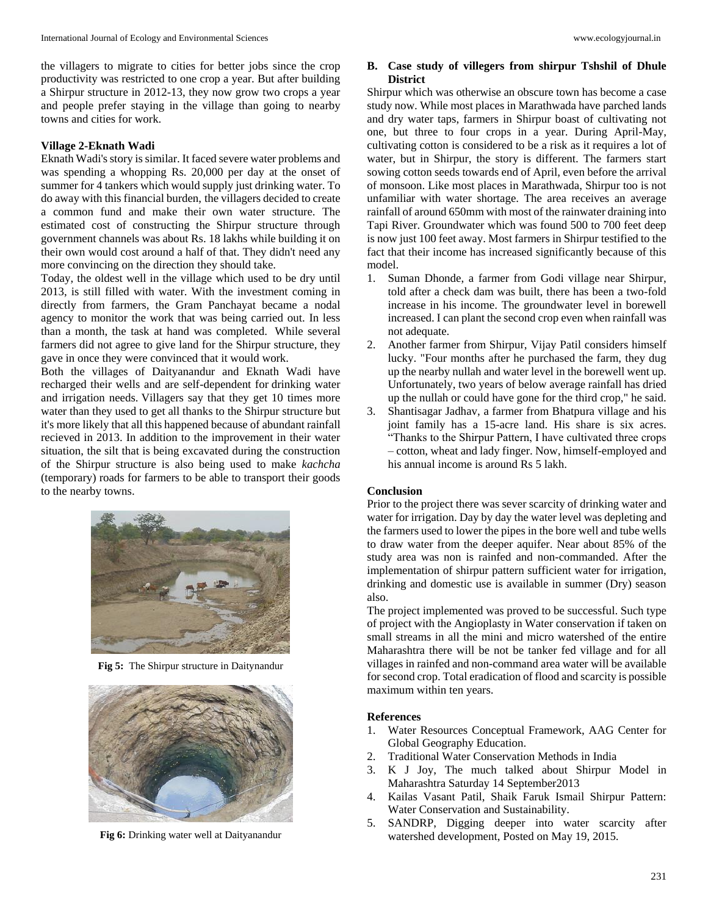the villagers to migrate to cities for better jobs since the crop productivity was restricted to one crop a year. But after building a Shirpur structure in 2012-13, they now grow two crops a year and people prefer staying in the village than going to nearby towns and cities for work.

## **Village 2-Eknath Wadi**

Eknath Wadi's story is similar. It faced severe water problems and was spending a whopping Rs. 20,000 per day at the onset of summer for 4 tankers which would supply just drinking water. To do away with this financial burden, the villagers decided to create a common fund and make their own water structure. The estimated cost of constructing the Shirpur structure through government channels was about Rs. 18 lakhs while building it on their own would cost around a half of that. They didn't need any more convincing on the direction they should take.

Today, the oldest well in the village which used to be dry until 2013, is still filled with water. With the investment coming in directly from farmers, the Gram Panchayat became a nodal agency to monitor the work that was being carried out. In less than a month, the task at hand was completed. While several farmers did not agree to give land for the Shirpur structure, they gave in once they were convinced that it would work.

Both the villages of Daityanandur and Eknath Wadi have recharged their wells and are self-dependent for drinking water and irrigation needs. Villagers say that they get 10 times more water than they used to get all thanks to the Shirpur structure but it's more likely that all this happened because of abundant rainfall recieved in 2013. In addition to the improvement in their water situation, the silt that is being excavated during the construction of the Shirpur structure is also being used to make *kachcha* (temporary) roads for farmers to be able to transport their goods to the nearby towns.



**Fig 5:** The Shirpur structure in Daitynandur



**Fig 6:** Drinking water well at Daityanandur

# **B. Case study of villegers from shirpur Tshshil of Dhule District**

Shirpur which was otherwise an obscure town has become a case study now. While most places in Marathwada have parched lands and dry water taps, farmers in Shirpur boast of cultivating not one, but three to four crops in a year. During April-May, cultivating cotton is considered to be a risk as it requires a lot of water, but in Shirpur, the story is different. The farmers start sowing cotton seeds towards end of April, even before the arrival of monsoon. Like most places in Marathwada, Shirpur too is not unfamiliar with water shortage. The area receives an average rainfall of around 650mm with most of the rainwater draining into Tapi River. Groundwater which was found 500 to 700 feet deep is now just 100 feet away. Most farmers in Shirpur testified to the fact that their income has increased significantly because of this model.

- 1. Suman Dhonde, a farmer from Godi village near Shirpur, told after a check dam was built, there has been a two-fold increase in his income. The groundwater level in borewell increased. I can plant the second crop even when rainfall was not adequate.
- 2. Another farmer from Shirpur, Vijay Patil considers himself lucky. "Four months after he purchased the farm, they dug up the nearby nullah and water level in the borewell went up. Unfortunately, two years of below average rainfall has dried up the nullah or could have gone for the third crop," he said.
- 3. Shantisagar Jadhav, a farmer from Bhatpura village and his joint family has a 15-acre land. His share is six acres. "Thanks to the Shirpur Pattern, I have cultivated three crops – cotton, wheat and lady finger. Now, himself-employed and his annual income is around Rs 5 lakh.

#### **Conclusion**

Prior to the project there was sever scarcity of drinking water and water for irrigation. Day by day the water level was depleting and the farmers used to lower the pipes in the bore well and tube wells to draw water from the deeper aquifer. Near about 85% of the study area was non is rainfed and non-commanded. After the implementation of shirpur pattern sufficient water for irrigation, drinking and domestic use is available in summer (Dry) season also.

The project implemented was proved to be successful. Such type of project with the Angioplasty in Water conservation if taken on small streams in all the mini and micro watershed of the entire Maharashtra there will be not be tanker fed village and for all villages in rainfed and non-command area water will be available for second crop. Total eradication of flood and scarcity is possible maximum within ten years.

#### **References**

- 1. Water Resources Conceptual Framework, AAG Center for Global Geography Education.
- 2. Traditional Water Conservation Methods in India
- 3. K J Joy, The much talked about Shirpur Model in Maharashtra Saturday 14 September2013
- 4. Kailas Vasant Patil, Shaik Faruk Ismail Shirpur Pattern: Water Conservation and Sustainability.
- 5. SANDRP, Digging deeper into water scarcity after watershed development, Posted on May 19, 2015.